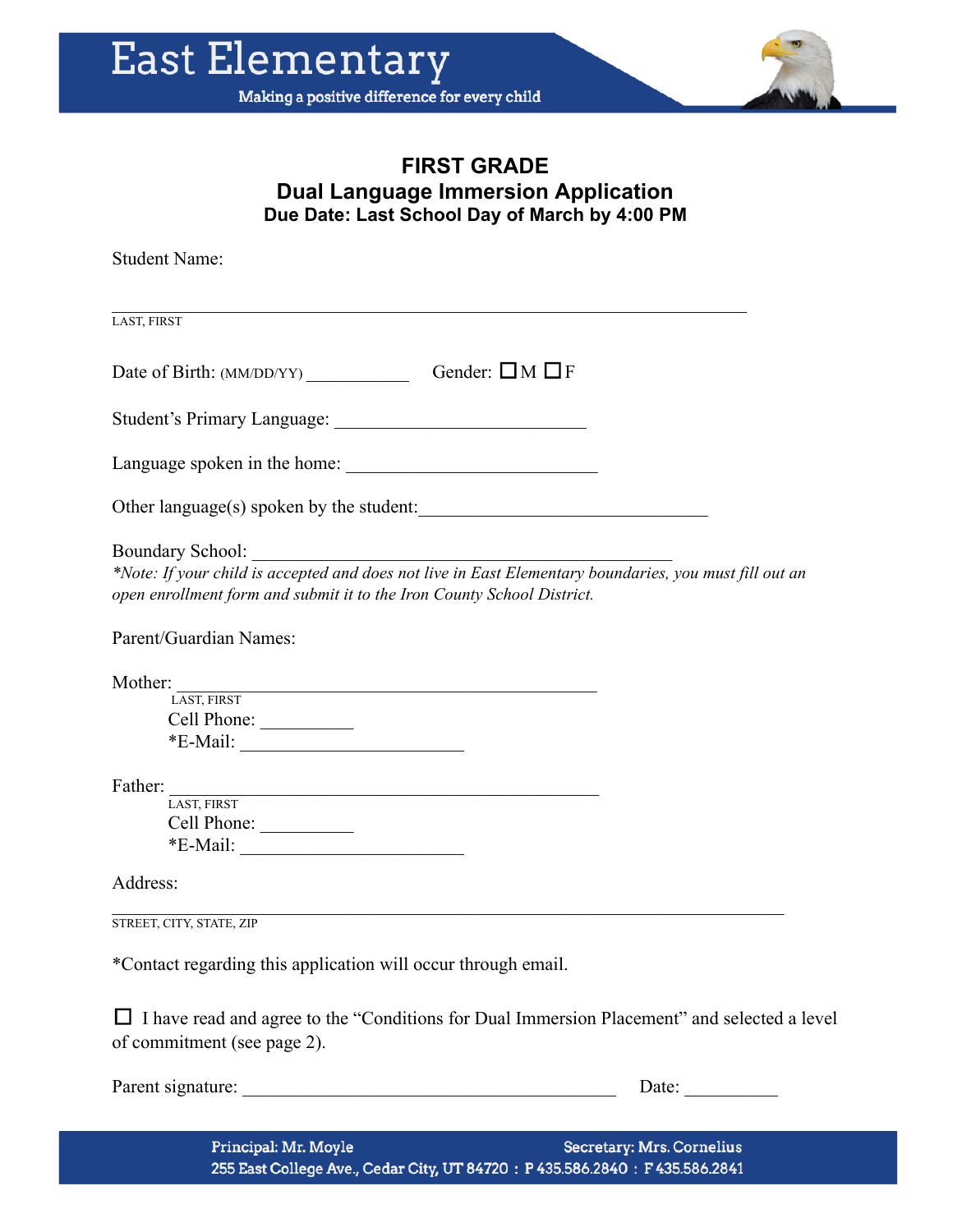

## **FIRST GRADE Dual Language Immersion Application Due Date: Last School Day of March by 4:00 PM**

Student Name:  $\mathcal{L}_\mathcal{L} = \mathcal{L}_\mathcal{L} = \mathcal{L}_\mathcal{L} = \mathcal{L}_\mathcal{L} = \mathcal{L}_\mathcal{L} = \mathcal{L}_\mathcal{L} = \mathcal{L}_\mathcal{L} = \mathcal{L}_\mathcal{L} = \mathcal{L}_\mathcal{L} = \mathcal{L}_\mathcal{L} = \mathcal{L}_\mathcal{L} = \mathcal{L}_\mathcal{L} = \mathcal{L}_\mathcal{L} = \mathcal{L}_\mathcal{L} = \mathcal{L}_\mathcal{L} = \mathcal{L}_\mathcal{L} = \mathcal{L}_\mathcal{L}$ LAST, FIRST Date of Birth: (MM/DD/YY) \_\_\_\_\_\_\_\_\_\_\_ Gender: ☐M ☐<sup>F</sup> Student's Primary Language: Language spoken in the home: \_\_\_\_\_\_\_\_\_\_\_\_\_\_\_\_\_\_\_\_\_\_\_\_\_\_\_ Other language(s) spoken by the student: Boundary School: \*Note: If your child is accepted and does not live in East Elementary boundaries, you must fill out an *open enrollment form and submit it to the Iron County School District.* Parent/Guardian Names: Mother: LAST, FIRST Cell Phone: \*E-Mail: \_\_\_\_\_\_\_\_\_\_\_\_\_\_\_\_\_\_\_\_\_\_\_\_ Father: LAST, FIRST Cell Phone: \_\_\_\_\_\_\_\_\_\_ \*E-Mail: \_\_\_\_\_\_\_\_\_\_\_\_\_\_\_\_\_\_\_\_\_\_\_\_ Address:  $\mathcal{L}_\mathcal{L} = \mathcal{L}_\mathcal{L} = \mathcal{L}_\mathcal{L} = \mathcal{L}_\mathcal{L} = \mathcal{L}_\mathcal{L} = \mathcal{L}_\mathcal{L} = \mathcal{L}_\mathcal{L} = \mathcal{L}_\mathcal{L} = \mathcal{L}_\mathcal{L} = \mathcal{L}_\mathcal{L} = \mathcal{L}_\mathcal{L} = \mathcal{L}_\mathcal{L} = \mathcal{L}_\mathcal{L} = \mathcal{L}_\mathcal{L} = \mathcal{L}_\mathcal{L} = \mathcal{L}_\mathcal{L} = \mathcal{L}_\mathcal{L}$ STREET, CITY, STATE, ZIP \*Contact regarding this application will occur through email. □ I have read and agree to the "Conditions for Dual Immersion Placement" and selected a level of commitment (see page 2).

Parent signature: \_\_\_\_\_\_\_\_\_\_\_\_\_\_\_\_\_\_\_\_\_\_\_\_\_\_\_\_\_\_\_\_\_\_\_\_\_\_\_\_ Date: \_\_\_\_\_\_\_\_\_\_

Principal: Mr. Moyle **Secretary: Mrs. Cornelius** 255 East College Ave., Cedar City, UT 84720: P 435.586.2840: F 435.586.2841